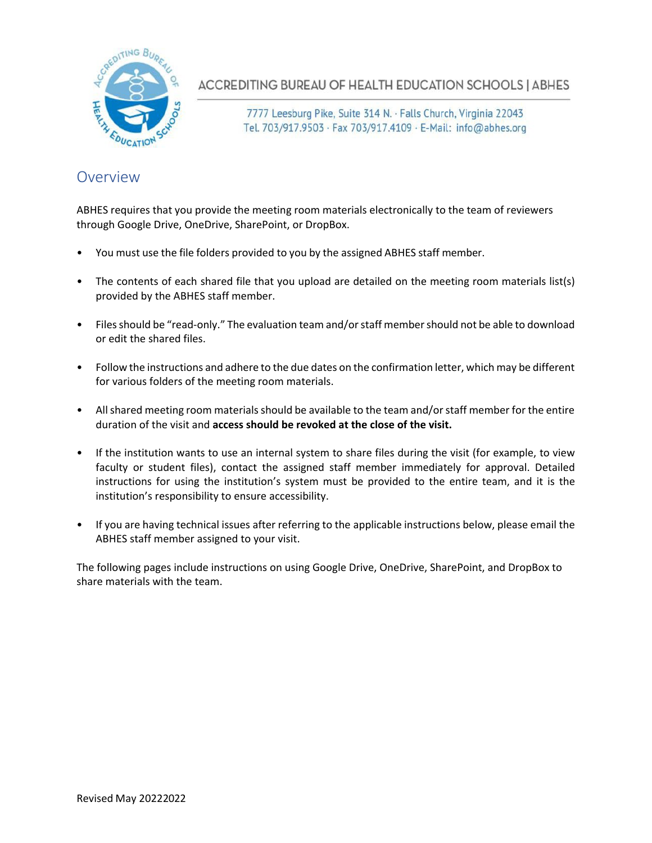

ACCREDITING BUREAU OF HEALTH EDUCATION SCHOOLS | ABHES

7777 Leesburg Pike, Suite 314 N. · Falls Church, Virginia 22043 Tel. 703/917.9503 · Fax 703/917.4109 · E-Mail: info@abhes.org

## Overview

ABHES requires that you provide the meeting room materials electronically to the team of reviewers through Google Drive, OneDrive, SharePoint, or DropBox.

- You must use the file folders provided to you by the assigned ABHES staff member.
- The contents of each shared file that you upload are detailed on the meeting room materials list(s) provided by the ABHES staff member.
- Filesshould be "read-only." The evaluation team and/orstaff membershould not be able to download or edit the shared files.
- Follow the instructions and adhere to the due dates on the confirmation letter, which may be different for various folders of the meeting room materials.
- All shared meeting room materials should be available to the team and/or staff member for the entire duration of the visit and **access should be revoked at the close of the visit.**
- If the institution wants to use an internal system to share files during the visit (for example, to view faculty or student files), contact the assigned staff member immediately for approval. Detailed instructions for using the institution's system must be provided to the entire team, and it is the institution's responsibility to ensure accessibility.
- If you are having technical issues after referring to the applicable instructions below, please email the ABHES staff member assigned to your visit.

The following pages include instructions on using Google Drive, OneDrive, SharePoint, and DropBox to share materials with the team.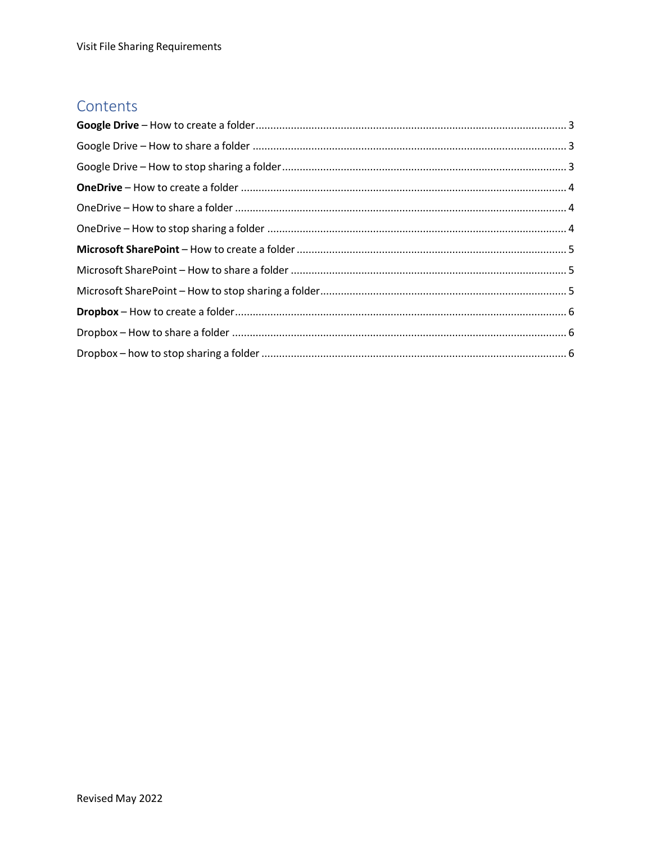## Contents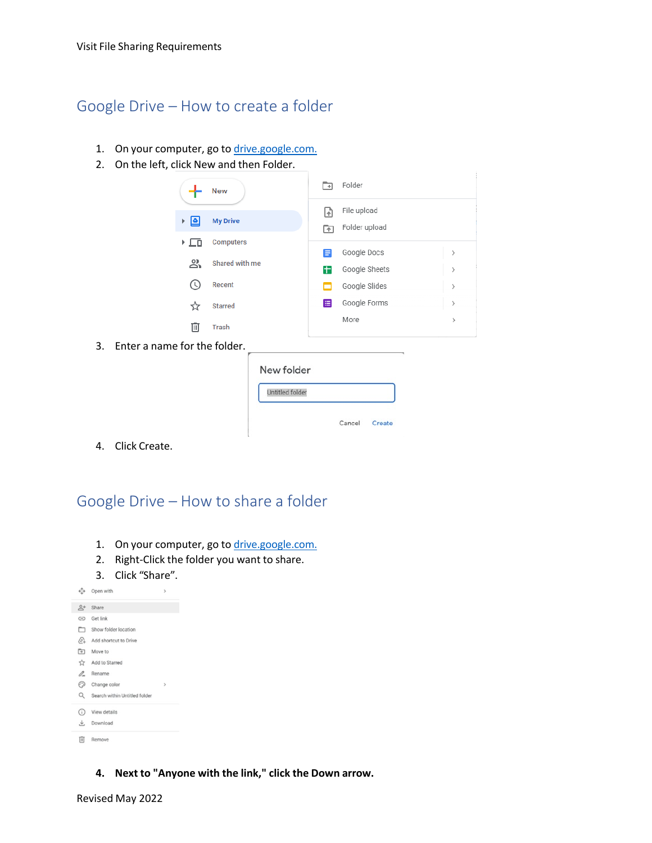## <span id="page-2-0"></span>Google Drive – How to create a folder

- 1. On your computer, go to [drive.google.com.](http://drive.google.com/)
- 2. On the left, click New and then Folder.

|    |                              | <b>New</b>      | ⊡       | Folder                       |               |
|----|------------------------------|-----------------|---------|------------------------------|---------------|
|    | آ≙ا ⊀                        | <b>My Drive</b> | G<br>নি | File upload<br>Folder upload |               |
|    | ▸ ⊑ū                         | Computers       | Ε       | Google Docs                  | $\,$          |
|    | వి                           | Shared with me  | Ŧ       | Google Sheets                | $\,$          |
|    | $\circ$                      | Recent          |         | Google Slides                | $\,$          |
|    | ☆                            | <b>Starred</b>  | 目       | Google Forms                 | >             |
|    | 画                            | <b>Trash</b>    |         | More                         | $\rightarrow$ |
| 3. | Enter a name for the folder. |                 |         |                              |               |
|    |                              | New folder      |         |                              |               |
|    |                              | Untitled folder |         |                              |               |

Cancel Create

4. Click Create.

<span id="page-2-1"></span>Google Drive – How to share a folder

- 1. On your computer, go to [drive.google.com.](https://drive.google.com/)
- 2. Right-Click the folder you want to share.
- 3. Click "Share".

 $\sim$ 

 $A$ ,  $A$ 

| ∽              | Ohen Mini                     | ,              |
|----------------|-------------------------------|----------------|
| $\mathbb{R}^+$ | Share                         |                |
| ⊝              | Get link                      |                |
| ▭              | Show folder location          |                |
| $\mathbb{C}^+$ | Add shortcut to Drive         |                |
| চি             | Move to                       |                |
| ☆              | Add to Starred                |                |
| 0.             | Rename                        |                |
| ಾ              | Change color                  | $\overline{ }$ |
| Q              | Search within Untitled folder |                |
| (i)            | View details                  |                |
| と              | Download                      |                |
| 间              | Remove                        |                |
|                |                               |                |

**4. Next to "Anyone with the link," click the Down arrow.**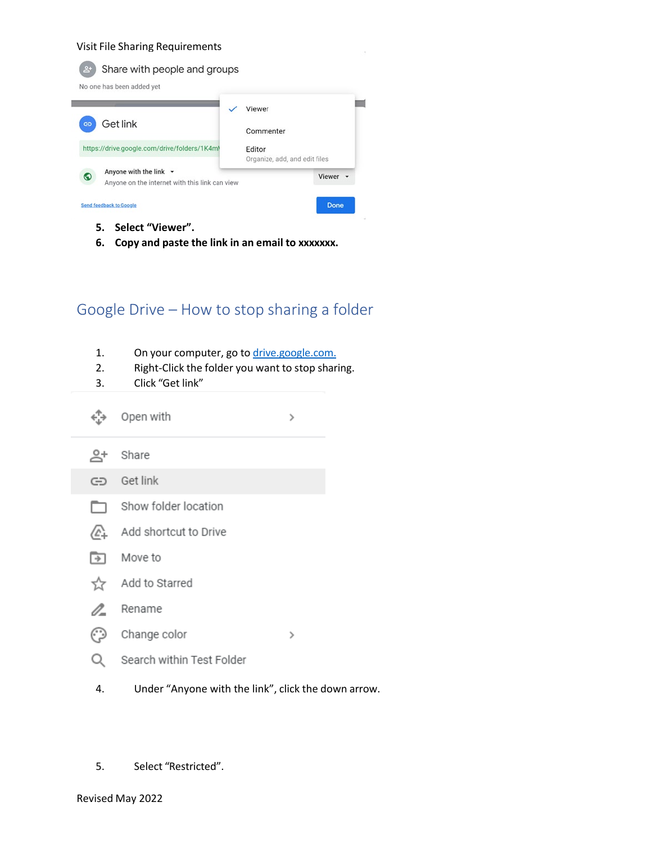

- **5. Select "Viewer".**
- **6. Copy and paste the link in an email to xxxxxxx.**

## <span id="page-3-0"></span>Google Drive – How to stop sharing a folder

- 1. On your computer, go to [drive.google.com.](https://drive.google.com/)
- 2. Right-Click the folder you want to stop sharing.
- 3. Click "Get link"

|                          | Open with                 | > |
|--------------------------|---------------------------|---|
| $\stackrel{\circ}{\sim}$ | Share                     |   |
| ⊖                        | Get link                  |   |
| $\Box$                   | Show folder location      |   |
| ⁄∆                       | Add shortcut to Drive     |   |
| [→]                      | Move to                   |   |
| 57                       | Add to Starred            |   |
| 0-                       | Rename                    |   |
| ල)                       | Change color              | ↘ |
|                          | Search within Test Folder |   |
|                          |                           |   |

- 4. Under "Anyone with the link", click the down arrow.
- 5. Select "Restricted".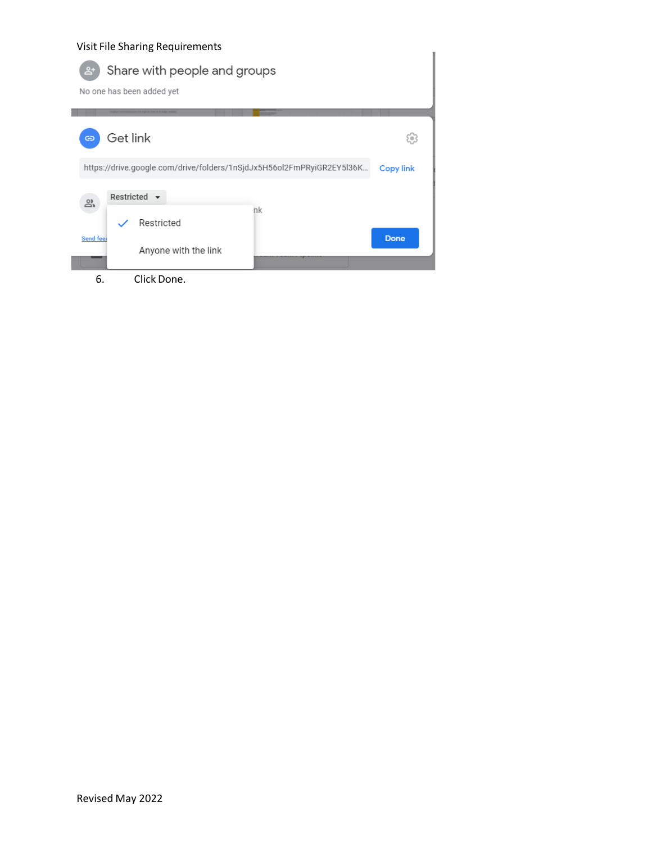| visit i lie stidtling Regulierierius<br>Share with people and groups<br>No one has been added yet |                  |
|---------------------------------------------------------------------------------------------------|------------------|
| Get link<br>⊖                                                                                     | ïο               |
| https://drive.google.com/drive/folders/1nSjdJx5H56ol2FmPRyiGR2EY5l36K                             | <b>Copy link</b> |
| Restricted $\blacktriangleright$<br>న్ని<br>nk<br>Restricted                                      |                  |
| <b>Send feet</b><br>Anyone with the link                                                          | <b>Done</b>      |
| Click Done.<br>6.                                                                                 |                  |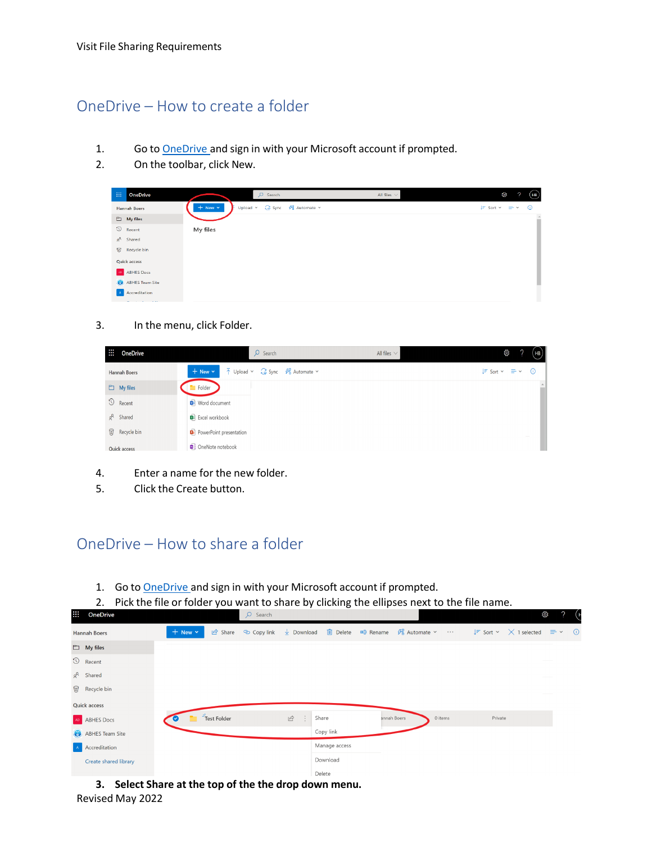## <span id="page-5-0"></span>OneDrive – How to create a folder

- 1. Go to **OneDrive** and sign in with your Microsoft account if prompted.
- 2. On the toolbar, click New.

| m | <b>OneDrive</b>       |                  | $O$ Search                   | All files $\vee$ | Ø                    | (HB)      |
|---|-----------------------|------------------|------------------------------|------------------|----------------------|-----------|
|   | <b>Hannah Boers</b>   | $+$ New $\times$ | Upload v G Sync % Automate v |                  | $F$ Sort $v = v$ (i) |           |
|   | $\Box$ My files       |                  |                              |                  |                      | $\hat{=}$ |
|   | $\circledcirc$ Recent | My files         |                              |                  |                      |           |
|   | $g^R$ Shared          |                  |                              |                  |                      |           |
|   | Recycle bin           |                  |                              |                  |                      |           |
|   | <b>Quick access</b>   |                  |                              |                  |                      |           |
|   | AD ABHES Docs         |                  |                              |                  |                      |           |
|   | ABHES Team Site       |                  |                              |                  |                      |           |
|   | A Accreditation       |                  |                              |                  |                      |           |
|   | 10,000                |                  |                              |                  |                      |           |

#### 3. In the menu, click Folder.

| m.<br><b>OneDrive</b> | $O$ Search                                                                                                                               | All files $\vee$ | భ్రి<br>(HB)                                          |
|-----------------------|------------------------------------------------------------------------------------------------------------------------------------------|------------------|-------------------------------------------------------|
| <b>Hannah Boers</b>   | $\overline{\uparrow}$ Upload $\vee$ $\overline{\smash{\bigoplus}}$ Sync $\mathscr{B}^{\mathbf{p}}_b$ Automate $\vee$<br>$+$ New $\times$ |                  | $\downarrow \equiv$ Sort $\times$ $\equiv$ $\times$ 0 |
| $\Box$ My files       | Folder                                                                                                                                   |                  | $\spadesuit$                                          |
| $\circled{1}$ Recent  | Word document                                                                                                                            |                  |                                                       |
| $g^R$ Shared          | <b>B</b> Excel workbook                                                                                                                  |                  |                                                       |
| ିଟ Recycle bin        | <b>D</b> PowerPoint presentation                                                                                                         |                  |                                                       |
| <b>Quick access</b>   | OneNote notebook                                                                                                                         |                  |                                                       |

- 4. Enter a name for the new folder.
- 5. Click the Create button.

**AM** 

# <span id="page-5-1"></span>OneDrive – How to share a folder

- 1. Go to [OneDrive a](https://onedrive.live.com/)nd sign in with your Microsoft account if prompted.
- 2. Pick the file or folder you want to share by clicking the ellipses next to the file name.

|                       |                  |             | $\sim$ $\sim$ $\sim$ $\sim$ $\sim$ $\sim$ $\sim$ $\sim$ |                           |               |                                                                                                                                                                                                                              |         |         |  |  |
|-----------------------|------------------|-------------|---------------------------------------------------------|---------------------------|---------------|------------------------------------------------------------------------------------------------------------------------------------------------------------------------------------------------------------------------------|---------|---------|--|--|
| <b>Hannah Boers</b>   | $+$ New $\times$ |             |                                                         |                           |               | $\overrightarrow{12}$ Share $\degree$ Copy link $\frac{1}{2}$ Download $\frac{1}{2}$ Delete $\Rightarrow$ Rename $\frac{1}{2}$ Automate $\sim$ $\cdots$ $\frac{1}{2}$ Sort $\sim$ $\times$ 1 selected $\Rightarrow$ $\sim$ 0 |         |         |  |  |
| $\Box$ My files       |                  |             |                                                         |                           |               |                                                                                                                                                                                                                              |         |         |  |  |
| $\circled{1}$ Recent  |                  |             |                                                         |                           |               |                                                                                                                                                                                                                              |         |         |  |  |
| $a^R$ Shared          |                  |             |                                                         |                           |               |                                                                                                                                                                                                                              |         |         |  |  |
| ିଟ Recycle bin        |                  |             |                                                         |                           |               |                                                                                                                                                                                                                              |         |         |  |  |
| <b>Quick access</b>   |                  |             |                                                         |                           |               |                                                                                                                                                                                                                              |         |         |  |  |
| AD ABHES Docs         |                  | Test Folder |                                                         | $\overrightarrow{P}$<br>÷ | Share         | annah Boers                                                                                                                                                                                                                  | 0 items | Private |  |  |
| ABHES Team Site       |                  |             |                                                         |                           | Copy link     |                                                                                                                                                                                                                              |         |         |  |  |
| A Accreditation       |                  |             |                                                         |                           | Manage access |                                                                                                                                                                                                                              |         |         |  |  |
| Create shared library |                  |             |                                                         |                           | Download      |                                                                                                                                                                                                                              |         |         |  |  |
|                       |                  |             |                                                         |                           | Delete        |                                                                                                                                                                                                                              |         |         |  |  |

.⊗. ว (н

Revised May 2022 **3. Select Share at the top of the the drop down menu.**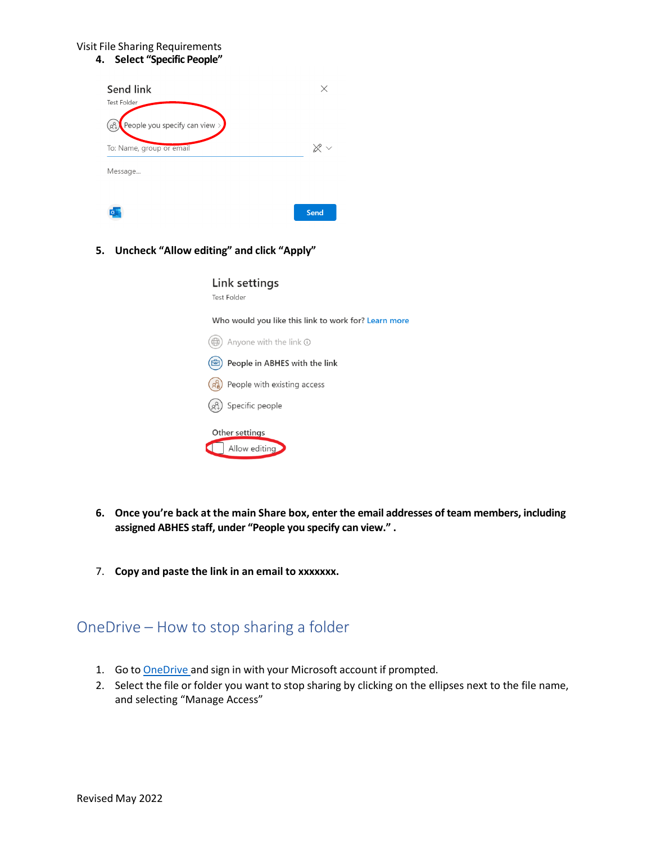#### **4. Select "Specific People"**

| Send link                            |             |
|--------------------------------------|-------------|
| Test Folder                          |             |
| People you specify can view $>$<br>o |             |
| To: Name, group or email             |             |
| Message                              |             |
|                                      |             |
|                                      | <b>Send</b> |

### **5. Uncheck "Allow editing" and click "Apply"**

| Link settings |
|---------------|
| Test Folder   |
|               |

Who would you like this link to work for? Learn more

| Anyone with the link $\odot$                                                        |
|-------------------------------------------------------------------------------------|
| People in ABHES with the link                                                       |
| People with existing access                                                         |
| $\left(\begin{smallmatrix} 2 & 1 \\ 2 & 4 \end{smallmatrix}\right)$ Specific people |
| Other settings                                                                      |
| Allow editing                                                                       |

- **6. Once you're back at the main Share box, enter the email addresses of team members, including assigned ABHES staff, under "People you specify can view." .**
- 7. **Copy and paste the link in an email to xxxxxxx.**

### <span id="page-6-0"></span>OneDrive – How to stop sharing a folder

- 1. Go to [OneDrive a](https://onedrive.live.com/)nd sign in with your Microsoft account if prompted.
- 2. Select the file or folder you want to stop sharing by clicking on the ellipses next to the file name, and selecting "Manage Access"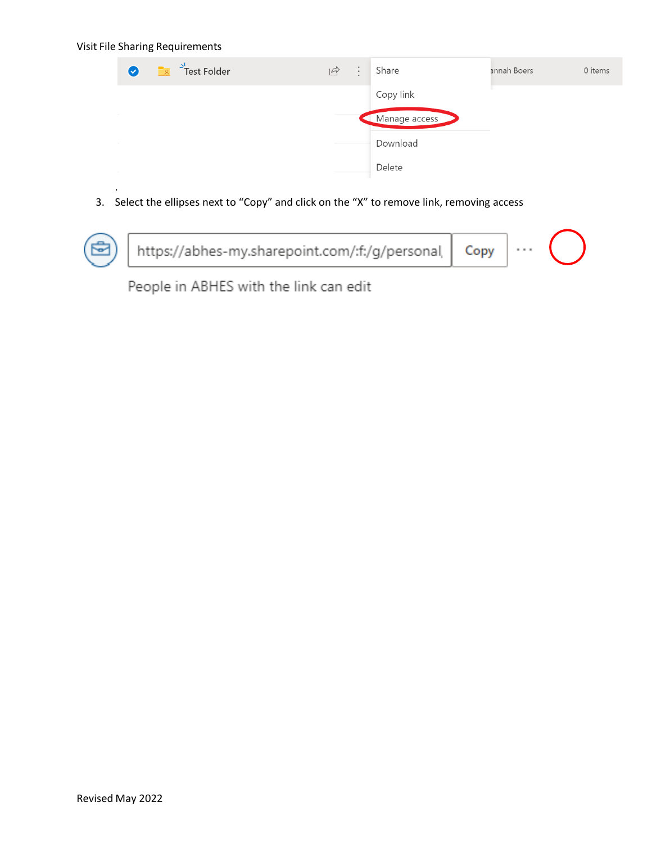.

| $\frac{1}{2}$ Test Folder<br>$\bullet$<br>$\sqrt{2}$ | $\acute{\Xi}$ | $\ddot{\cdot}$ | Share         | annah Boers | 0 items |
|------------------------------------------------------|---------------|----------------|---------------|-------------|---------|
|                                                      |               |                | Copy link     |             |         |
|                                                      |               |                | Manage access |             |         |
|                                                      |               |                | Download      |             |         |
| <b>Contract Contract</b>                             |               |                | Delete        |             |         |

3. Select the ellipses next to "Copy" and click on the "X" to remove link, removing access



People in ABHES with the link can edit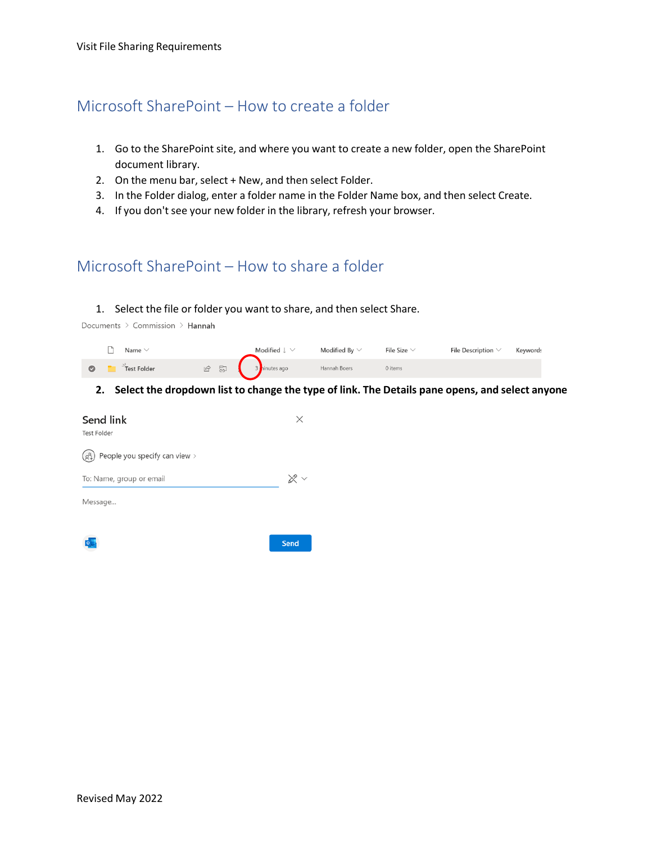### <span id="page-8-0"></span>Microsoft SharePoint – How to create a folder

- 1. Go to the SharePoint site, and where you want to create a new folder, open the SharePoint document library.
- 2. On the menu bar, select + New, and then select Folder.
- 3. In the Folder dialog, enter a folder name in the Folder Name box, and then select Create.
- 4. If you don't see your new folder in the library, refresh your browser.

# <span id="page-8-1"></span>Microsoft SharePoint – How to share a folder

#### 1. Select the file or folder you want to share, and then select Share.

Documents > Commission > Hannah

|   | Name        |                                           | Modified J<br>$\checkmark$ | Modified By $\vee$ | File Size | File Description $\vee$ | Keywords |
|---|-------------|-------------------------------------------|----------------------------|--------------------|-----------|-------------------------|----------|
| Ø | Test Folder | $\overline{\mathbb{S}}$<br>$\mathfrak{S}$ | inutes ago                 | Hannah Boers       | 0 items   |                         |          |

#### **2. Select the dropdown list to change the type of link. The Details pane opens, and select anyone**

| Send link<br><b>Test Folder</b> | ×                    |
|---------------------------------|----------------------|
| People you specify can view >   |                      |
| To: Name, group or email        | $\otimes \checkmark$ |
| Message                         |                      |
|                                 | <b>Send</b>          |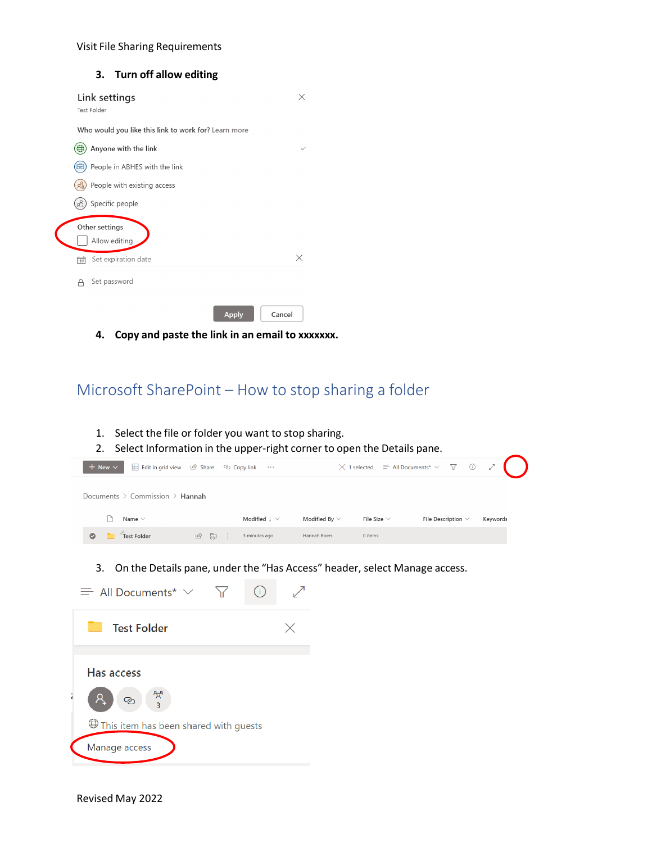### **3. Turn off allow editing**

|   | Link settings<br><b>Test Folder</b>                  | ×            |
|---|------------------------------------------------------|--------------|
|   | Who would you like this link to work for? Learn more |              |
| ₩ | Anyone with the link                                 | $\checkmark$ |
|   | People in ABHES with the link                        |              |
|   | People with existing access                          |              |
|   | Specific people                                      |              |
|   | Other settings<br>Allow editing                      |              |
| 請 | Set expiration date                                  | X            |
| А | Set password                                         |              |
|   | <b>Apply</b>                                         | Cancel       |

**4. Copy and paste the link in an email to xxxxxxx.**

# <span id="page-9-0"></span>Microsoft SharePoint – How to stop sharing a folder

| Select the file or folder you want to stop sharing.<br>1.<br>2.<br>Select Information in the upper-right corner to open the Details pane. |                                                             |                    |                                                      |                            |          |
|-------------------------------------------------------------------------------------------------------------------------------------------|-------------------------------------------------------------|--------------------|------------------------------------------------------|----------------------------|----------|
| Edit in grid view   & Share   & Copy link<br>$+$ New $\vee$                                                                               | $\ldots$                                                    |                    | $\times$ 1 selected $\equiv$ All Documents* $\times$ | $\triangledown$<br>$\odot$ |          |
| Documents $\geq$ Commission $\geq$ Hannah                                                                                                 |                                                             |                    |                                                      |                            |          |
| Name $\vee$                                                                                                                               | Modified $\downarrow \, \vee$                               | Modified By $\vee$ | File Size $\vee$                                     | File Description $\vee$    | Keywords |
| Test Folder<br>12 周<br>Ø                                                                                                                  | 3 minutes ago                                               | Hannah Boers       | 0 items                                              |                            |          |
| On the Details pane, under the "Has Access" header, select Manage access.<br>3.<br>$\equiv$ All Documents* $\vee$<br><b>Test Folder</b>   | $\left( \begin{array}{c} 1 \end{array} \right)$<br>$\times$ |                    |                                                      |                            |          |
| Has access<br>This item has been shared with guests<br>Manage access                                                                      |                                                             |                    |                                                      |                            |          |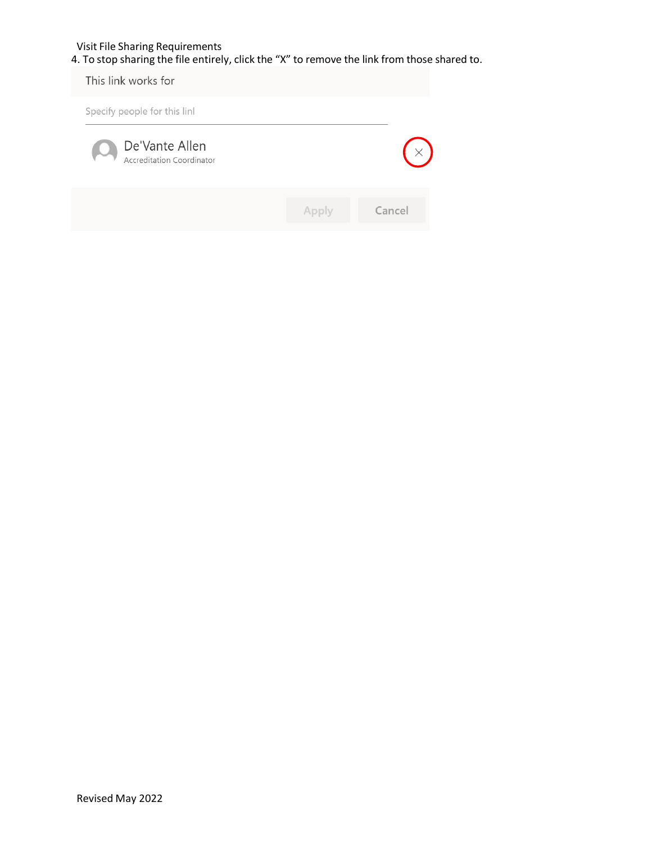4. To stop sharing the file entirely, click the "X" to remove the link from those shared to.

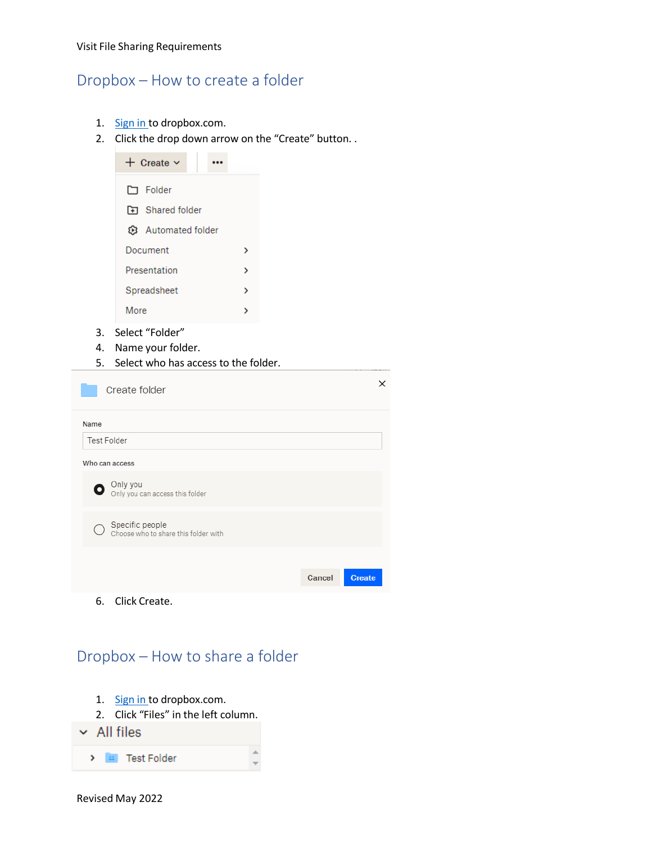## <span id="page-11-0"></span>Dropbox – How to create a folder

- 1. [Sign in t](https://www.dropbox.com/login)o dropbox.com.
- 2. Click the drop down arrow on the "Create" button. .



 $\times$ 

Create

Cancel

6. Click Create.

<span id="page-11-1"></span>Dropbox – How to share a folder

- 1. [Sign in t](https://www.dropbox.com/login)o dropbox.com.
- 2. Click "Files" in the left column.
- $\sim$  All files

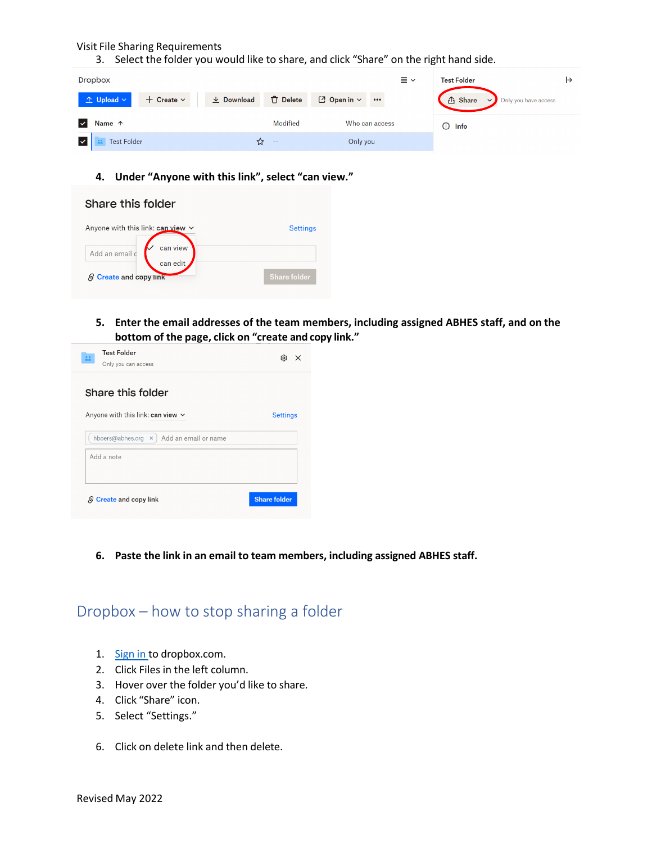3. Select the folder you would like to share, and click "Share" on the right hand side.

|     | <b>Dropbox</b>          |                   |                  |                 |                       |                           | $\equiv$ $\sim$ | <b>Test Folder</b> |                                  |  |
|-----|-------------------------|-------------------|------------------|-----------------|-----------------------|---------------------------|-----------------|--------------------|----------------------------------|--|
|     | $\hat{r}$ Upload $\sim$ | $+$ Create $\vee$ | $\perp$ Download | <b>门</b> Delete | $\Box$ Open in $\vee$ | $\bullet \bullet \bullet$ |                 | <b>① Share</b>     | Only you have access<br>$\vee$ . |  |
| ▎✓▏ | Name 1                  |                   |                  | Modified        | Who can access        |                           |                 | $\odot$ Info       |                                  |  |
|     | <b>Test Folder</b>      |                   | ជ                | $ -$            | Only you              |                           |                 |                    |                                  |  |

#### **4. Under "Anyone with this link", select "can view."**

| Share this folder                      |                     |
|----------------------------------------|---------------------|
| Anyone with this link: $can view \sim$ | <b>Settings</b>     |
| can view<br>Add an email c<br>can edit |                     |
| <b>S</b> Create and copy link          | <b>Share folder</b> |

**5. Enter the email addresses of the team members, including assigned ABHES staff, and on the bottom of the page, click on "create and copy link."** 

| <b>Test Folder</b><br>盐<br>Only you can access       | છ<br>$\times$       |
|------------------------------------------------------|---------------------|
| Share this folder                                    |                     |
| Anyone with this link: can view $\vee$               | <b>Settings</b>     |
| hboers@abhes.org<br>Add an email or name<br>$\times$ |                     |
| Add a note                                           |                     |
|                                                      |                     |
| $S$ Create and copy link                             | <b>Share folder</b> |

**6. Paste the link in an email to team members, including assigned ABHES staff.**

### <span id="page-12-0"></span>Dropbox – how to stop sharing a folder

- 1. [Sign in t](https://www.dropbox.com/login)o dropbox.com.
- 2. Click Files in the left column.
- 3. Hover over the folder you'd like to share.
- 4. Click "Share" icon.
- 5. Select "Settings."
- 6. Click on delete link and then delete.